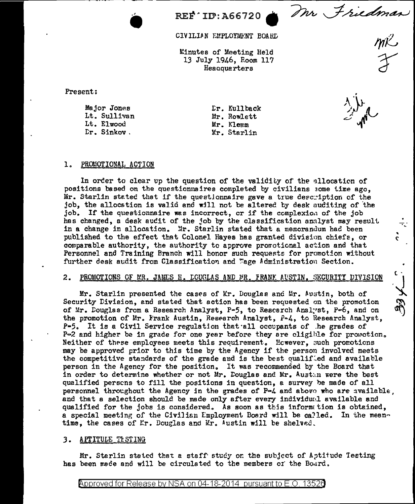Mr Friedman  $m^2$ 

CIVILIAN EMPLOYMENT BOARD

REF ID: A66720

Minutes of Meeting Held 13 July 1946, Room 117 Headquarters

Present:

Major Jones Lt. Sullivan Lt. Elwood Dr. Sinkov.

Er. Kullback Mr. Rowlett Mr. Klemm Mr. Starlin

C.

 $\mathfrak{c}$ .

# 1. PROMOTIONAL ACTION

In order to clear up the question of the validity of the allocation of positions based on the questionnaires completed by civilians some time ago. Mr. Starlin stated that if the questionnaire gave a true description of the job, the allocation is valid and will not be altered by desk auditing of the job. If the questionnaire was incorrect, or if the complexion of the job has changed, a desk audit of the job by the classification analyst may result in a change in allocation. Mr. Starlin stated that a memorandum had been published to the effect that Colonel Hayes has granted division chiefs, or comparable authority, the authority to approve promotional action and that Personnel and Training Branch will honor such requests for promotion without further desk audit from Classification and Wage Administration Section.

#### 2. PROMOTIONS OF MR. JAMES H. LOUGLAS AND MR. FRANK AUSTIN. SECURITY DIVISION

بكو ويزهته Mr. Starlin presented the cases of Mr. Douglas and Mr. Austin, both of Security Division, and stated that action has been requested on the promotion of Mr. Douglas from a Research Analyst, P-5, to Research Analyst, P-6, and on the promotion of Mr. Frank Austin, Research Analyst,  $P-4$ , to Research Analyst.  $P-5$ . It is a Civil Service regulation that all occupants of the grades of  $P=2$  and higher be in grade for one year before they are cligible for promotion. Neither of these employees meets this requirement. However, such promotions may be approved prior to this time by the Agency if the person involved meets the competitive standards of the grade and is the best qualified and available person in the Agency for the position. It was recommended by the Board that in order to determine whether or not Mr. Douglas and Mr. Austan were the best qualified persons to fill the positions in question, a survey be made of all personnel throughout the Agency in the grades of P-4 and above who are available. and that a selection should be made only after every individual available and qualified for the jobs is considered. As soon as this information is obtained, a special meeting of the Civilian Employment Board will be called. In the meantime, the cases of Mr. Douglas and Mr. Austin will be shelved.

### 3. APTITULE TESTING

Mr. Starlin stated that a staff study on the subject of Aptitude Testing has been made and will be circulated to the members of the Board.